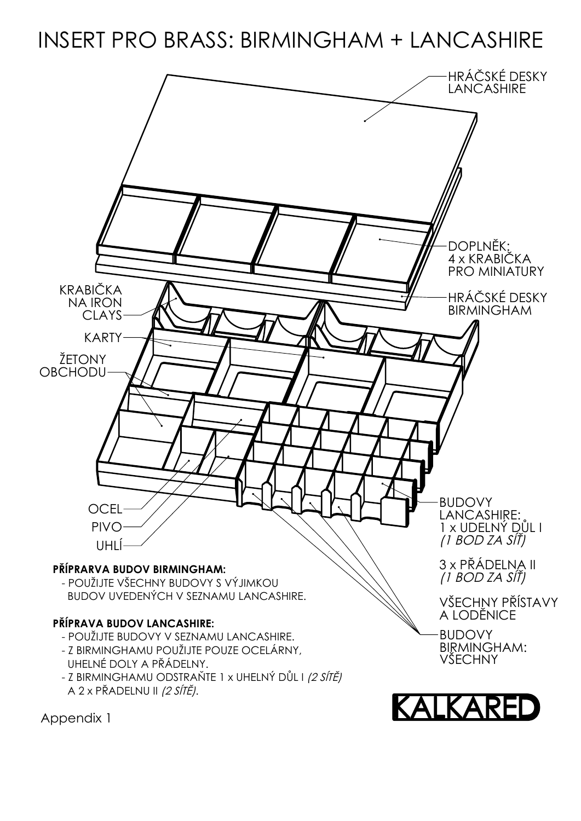## INSERT PRO BRASS: BIRMINGHAM + LANCASHIRE



Appendix 1